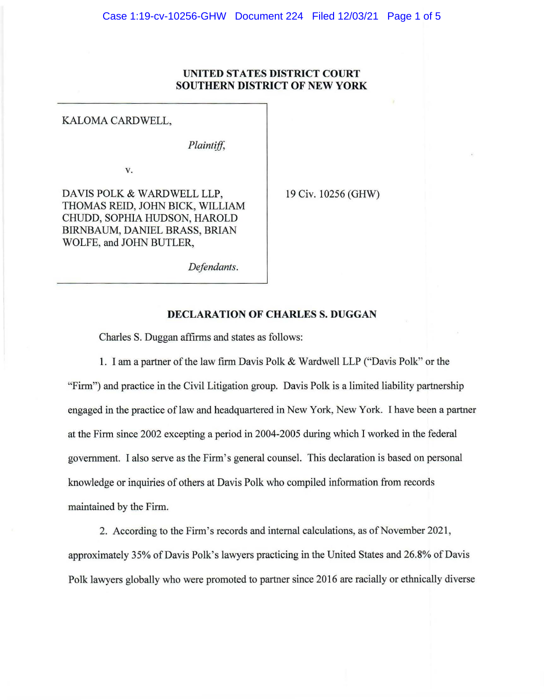# **UNITED STATES DISTRICT COURT SOUTHERN DISTRICT OF NEW YORK**

## KALOMA CARDWELL,

*Plaintiff,* 

V.

DAVIS POLK & WARDWELL LLP, THOMAS REID, JOHN BICK, WILLIAM CRUDO, SOPHIA HUDSON, HAROLD BIRNBAUM, DANIEL BRASS, BRIAN WOLFE, and JOHN BUTLER,

19 Civ. 10256 (GHW)

*Defendants.* 

## **DECLARATION OF CHARLES S. DUGGAN**

Charles S. Duggan affirms and states as follows:

1. I am a partner of the law firm Davis Polk & Wardwell LLP ("Davis Polk" or the "Firm") and practice in the Civil Litigation group. Davis Polk is a limited liability partnership engaged in the practice of law and headquartered in New York, New York. I have been a partner at the Firm since 2002 excepting a period in 2004-2005 during which I worked in the federal government. I also serve as the Firm's general counsel. This declaration is based on personal knowledge or inquiries of others at Davis Polk who compiled information from records maintained by the Firm.

2. According to the Firm's records and internal calculations, as of November 2021, approximately 35% of Davis Polk's lawyers practicing in the United States and 26.8% of Davis Polk lawyers globally who were promoted to partner since 2016 are racially or ethnically diverse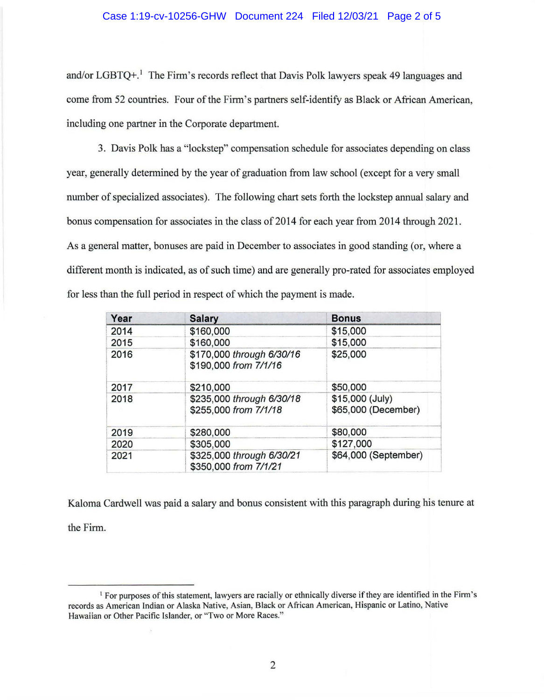#### Case 1:19-cv-10256-GHW Document 224 Filed 12/03/21 Page 2 of 5

and/or LGBTQ+.<sup>1</sup> The Firm's records reflect that Davis Polk lawyers speak 49 languages and come from 52 countries. Four of the Firm's partners self-identify as Black or African American, including one partner in the Corporate department.

3. Davis Polk has a "lockstep" compensation schedule for associates depending on class year, generally determined by the year of graduation from law school (except for a very small number of specialized associates). The following chart sets forth the lockstep annual salary and bonus compensation for associates in the class of 2014 for each year from 2014 through 2021. As a general matter, bonuses are paid in December to associates in good standing (or, where a different month is indicated, as of such time) and are generally pro-rated for associates employed for less than the full period in respect of which the payment is made.

| Year | <b>Salary</b>                                      | <b>Bonus</b>                           |
|------|----------------------------------------------------|----------------------------------------|
| 2014 | \$160,000                                          | \$15,000                               |
| 2015 | \$160,000                                          | \$15,000                               |
| 2016 | \$170,000 through 6/30/16<br>\$190,000 from 7/1/16 | \$25,000                               |
| 2017 | \$210,000                                          | \$50,000                               |
| 2018 | \$235,000 through 6/30/18<br>\$255,000 from 7/1/18 | \$15,000 (July)<br>\$65,000 (December) |
| 2019 | \$280,000                                          | \$80,000                               |
| 2020 | \$305,000                                          | \$127,000                              |
| 2021 | \$325,000 through 6/30/21<br>\$350,000 from 7/1/21 | \$64,000 (September)                   |

Kalama Cardwell was paid a salary and bonus consistent with this paragraph during his tenure at the Firm.

<sup>&</sup>lt;sup>1</sup> For purposes of this statement, lawyers are racially or ethnically diverse if they are identified in the Firm's records as American Indian or Alaska Native, Asian, Black or African American, Hispanic or Latino, Native Hawaiian or Other Pacific Islander, or "Two or More Races."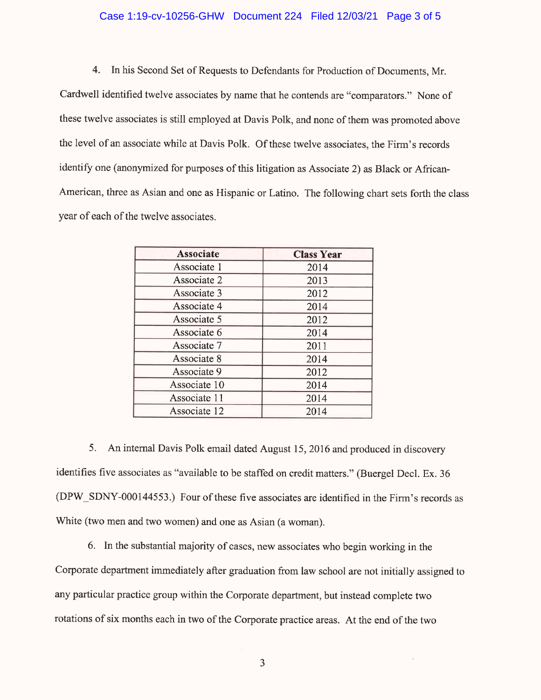### Case 1:19-cv-10256-GHW Document 224 Filed 12/03/21 Page 3 of 5

4. In his Second Set of Requests to Defendants for Production of Documents, Mr.

Cardwell identified twelve associates by name that he contends are "comparators." None of these twelve associates is still employed at Davis Polk, and none of them was promoted above the level of an associate while at Davis Polk. Of these twelve associates, the Firm's records identify one (anonymized for purposes of this litigation as Associate 2) as Black or African-American, three as Asian and one as Hispanic or Latino. The following chart sets forth the class year of each of the twelve associates.

| <b>Associate</b> | <b>Class Year</b> |
|------------------|-------------------|
| Associate 1      | 2014              |
| Associate 2      | 2013              |
| Associate 3      | 2012              |
| Associate 4      | 2014              |
| Associate 5      | 2012              |
| Associate 6      | 2014              |
| Associate 7      | 2011              |
| Associate 8      | 2014              |
| Associate 9      | 2012              |
| Associate 10     | 2014              |
| Associate 11     | 2014              |
| Associate 12     | 2014              |

5. An internal Davis Polk email dated August 15, 2016 and produced in discovery identifies five associates as "available to be staffed on credit matters." (Buergel Decl. Ex. 36) (DPW SDNY-000144553.) Four of these five associates are identified in the Firm's records as White (two men and two women) and one as Asian (a woman).

6. In the substantial majority of cases, new associates who begin working in the Corporate department immediately after graduation from law school are not initially assigned to any particular practice group within the Corporate department, but instead complete two rotations of six months each in two of the Corporate practice areas. At the end of the two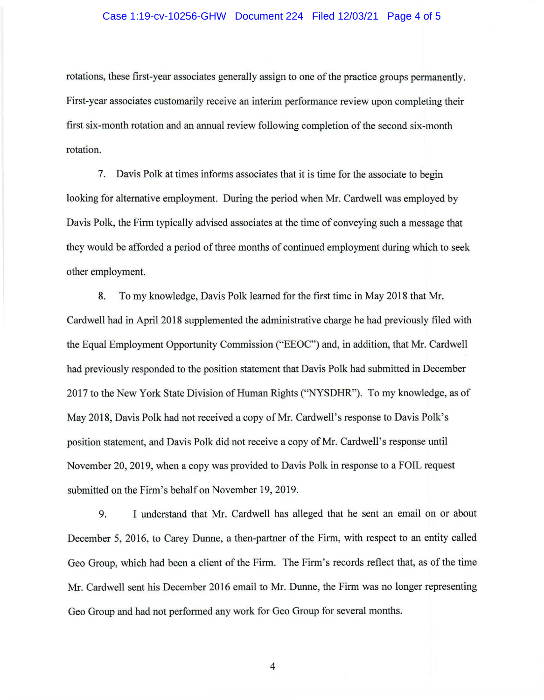#### Case 1:19-cv-10256-GHW Document 224 Filed 12/03/21 Page 4 of 5

rotations, these first-year associates generally assign to one of the practice groups permanently. First-year associates customarily receive an interim performance review upon completing their first six-month rotation and an annual review following completion of the second six-month rotation.

7. Davis Polk at times informs associates that it is time for the associate to begin looking for alternative employment. During the period when Mr. Cardwell was employed by Davis Polk, the Firm typically advised associates at the time of conveying such a message that they would be afforded a period of three months of continued employment during which to seek other employment.

8. To my knowledge, Davis Polk learned for the first time in May 2018 that Mr. Cardwell had in April 2018 supplemented the administrative charge he had previously filed with the Equal Employment Opportunity Commission ("EEOC") and, in addition, that Mr. Cardwell had previously responded to the position statement that Davis Polk had submitted in December 2017 to the New York State Division of Human Rights ("NYSDHR"). To my knowledge, as of May 2018, Davis Polk had not received a copy of Mr. Cardwell's response to Davis Polk's position statement, and Davis Polk did not receive a copy of Mr. Cardwell's response until November 20, 2019, when a copy was provided to Davis Polk in response to a FOIL request submitted on the Firm's behalf on November 19, 2019.

9. I understand that Mr. Cardwell has alleged that he sent an email on or about December 5, 2016, to Carey Dunne, a then-partner of the Firm, with respect to an entity called Geo Group, which had been a client of the Firm. The Firm's records reflect that, as of the time Mr. Cardwell sent his December 2016 email to Mr. Dunne, the Firm was no longer representing Geo Group and had not performed any work for Geo Group for several months.

4